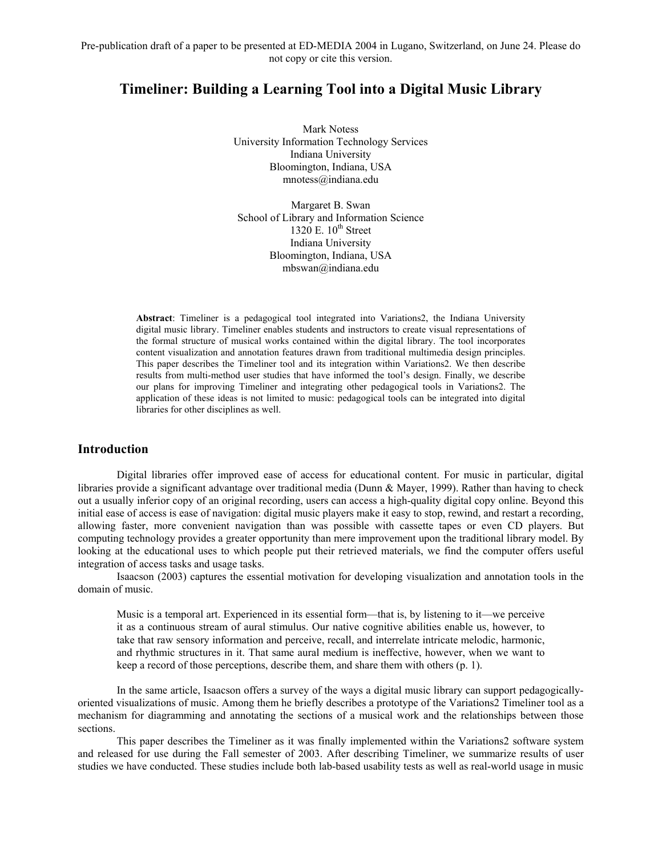# **Timeliner: Building a Learning Tool into a Digital Music Library**

Mark Notess University Information Technology Services Indiana University Bloomington, Indiana, USA mnotess@indiana.edu

Margaret B. Swan School of Library and Information Science 1320 E.  $10^{th}$  Street Indiana University Bloomington, Indiana, USA mbswan@indiana.edu

**Abstract**: Timeliner is a pedagogical tool integrated into Variations2, the Indiana University digital music library. Timeliner enables students and instructors to create visual representations of the formal structure of musical works contained within the digital library. The tool incorporates content visualization and annotation features drawn from traditional multimedia design principles. This paper describes the Timeliner tool and its integration within Variations2. We then describe results from multi-method user studies that have informed the tool's design. Finally, we describe our plans for improving Timeliner and integrating other pedagogical tools in Variations2. The application of these ideas is not limited to music: pedagogical tools can be integrated into digital libraries for other disciplines as well.

## **Introduction**

Digital libraries offer improved ease of access for educational content. For music in particular, digital libraries provide a significant advantage over traditional media (Dunn & Mayer, 1999). Rather than having to check out a usually inferior copy of an original recording, users can access a high-quality digital copy online. Beyond this initial ease of access is ease of navigation: digital music players make it easy to stop, rewind, and restart a recording, allowing faster, more convenient navigation than was possible with cassette tapes or even CD players. But computing technology provides a greater opportunity than mere improvement upon the traditional library model. By looking at the educational uses to which people put their retrieved materials, we find the computer offers useful integration of access tasks and usage tasks.

Isaacson (2003) captures the essential motivation for developing visualization and annotation tools in the domain of music.

Music is a temporal art. Experienced in its essential form—that is, by listening to it—we perceive it as a continuous stream of aural stimulus. Our native cognitive abilities enable us, however, to take that raw sensory information and perceive, recall, and interrelate intricate melodic, harmonic, and rhythmic structures in it. That same aural medium is ineffective, however, when we want to keep a record of those perceptions, describe them, and share them with others (p. 1).

In the same article, Isaacson offers a survey of the ways a digital music library can support pedagogicallyoriented visualizations of music. Among them he briefly describes a prototype of the Variations2 Timeliner tool as a mechanism for diagramming and annotating the sections of a musical work and the relationships between those sections.

This paper describes the Timeliner as it was finally implemented within the Variations2 software system and released for use during the Fall semester of 2003. After describing Timeliner, we summarize results of user studies we have conducted. These studies include both lab-based usability tests as well as real-world usage in music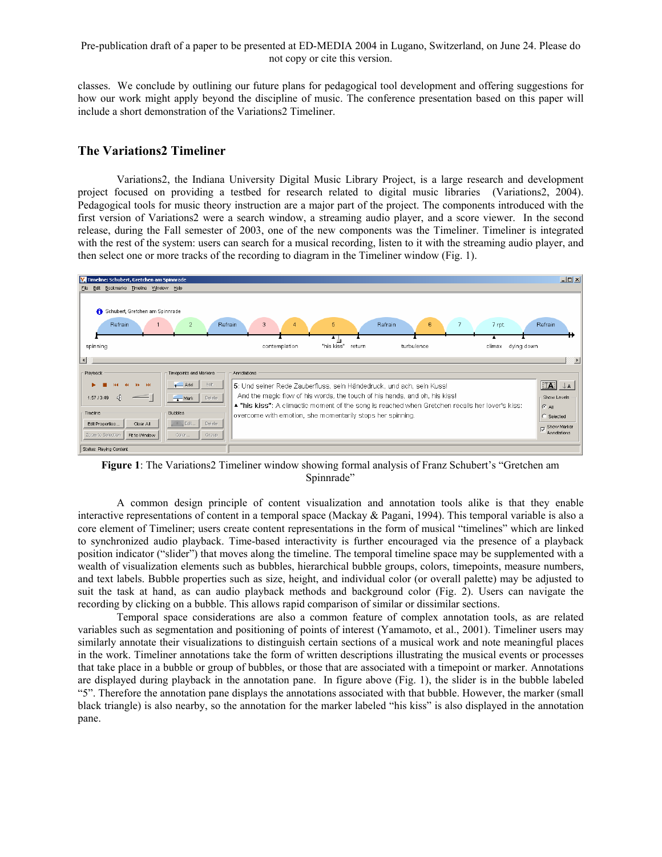classes. We conclude by outlining our future plans for pedagogical tool development and offering suggestions for how our work might apply beyond the discipline of music. The conference presentation based on this paper will include a short demonstration of the Variations2 Timeliner.

# **The Variations2 Timeliner**

Variations2, the Indiana University Digital Music Library Project, is a large research and development project focused on providing a testbed for research related to digital music libraries (Variations2, 2004). Pedagogical tools for music theory instruction are a major part of the project. The components introduced with the first version of Variations2 were a search window, a streaming audio player, and a score viewer. In the second release, during the Fall semester of 2003, one of the new components was the Timeliner. Timeliner is integrated with the rest of the system: users can search for a musical recording, listen to it with the streaming audio player, and then select one or more tracks of the recording to diagram in the Timeliner window (Fig. 1).



**Figure 1**: The Variations2 Timeliner window showing formal analysis of Franz Schubert's "Gretchen am Spinnrade"

A common design principle of content visualization and annotation tools alike is that they enable interactive representations of content in a temporal space (Mackay & Pagani, 1994). This temporal variable is also a core element of Timeliner; users create content representations in the form of musical "timelines" which are linked to synchronized audio playback. Time-based interactivity is further encouraged via the presence of a playback position indicator ("slider") that moves along the timeline. The temporal timeline space may be supplemented with a wealth of visualization elements such as bubbles, hierarchical bubble groups, colors, timepoints, measure numbers, and text labels. Bubble properties such as size, height, and individual color (or overall palette) may be adjusted to suit the task at hand, as can audio playback methods and background color (Fig. 2). Users can navigate the recording by clicking on a bubble. This allows rapid comparison of similar or dissimilar sections.

Temporal space considerations are also a common feature of complex annotation tools, as are related variables such as segmentation and positioning of points of interest (Yamamoto, et al., 2001). Timeliner users may similarly annotate their visualizations to distinguish certain sections of a musical work and note meaningful places in the work. Timeliner annotations take the form of written descriptions illustrating the musical events or processes that take place in a bubble or group of bubbles, or those that are associated with a timepoint or marker. Annotations are displayed during playback in the annotation pane. In figure above (Fig. 1), the slider is in the bubble labeled "5". Therefore the annotation pane displays the annotations associated with that bubble. However, the marker (small black triangle) is also nearby, so the annotation for the marker labeled "his kiss" is also displayed in the annotation pane.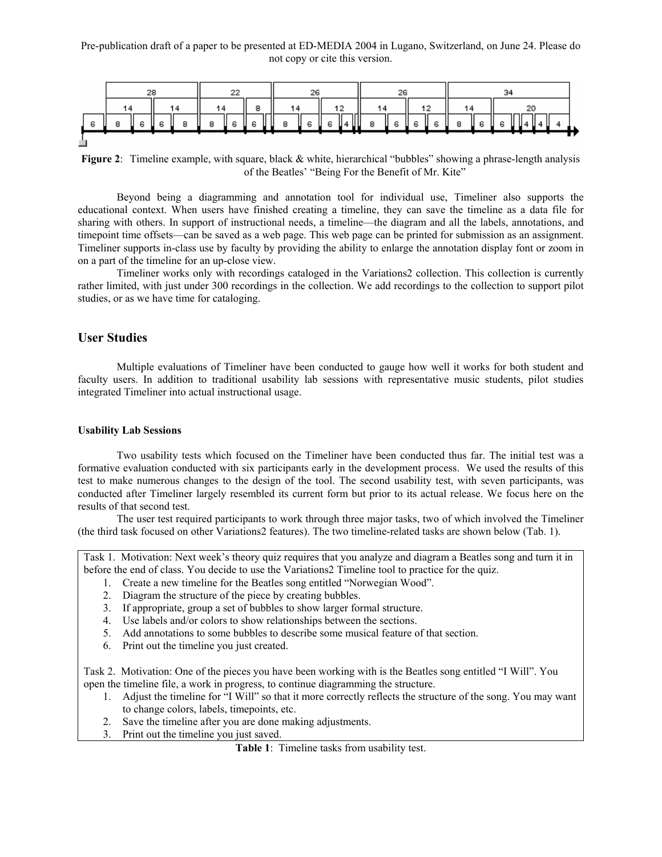

**Figure 2:** Timeline example, with square, black & white, hierarchical "bubbles" showing a phrase-length analysis of the Beatles' "Being For the Benefit of Mr. Kite"

Beyond being a diagramming and annotation tool for individual use, Timeliner also supports the educational context. When users have finished creating a timeline, they can save the timeline as a data file for sharing with others. In support of instructional needs, a timeline—the diagram and all the labels, annotations, and timepoint time offsets—can be saved as a web page. This web page can be printed for submission as an assignment. Timeliner supports in-class use by faculty by providing the ability to enlarge the annotation display font or zoom in on a part of the timeline for an up-close view.

Timeliner works only with recordings cataloged in the Variations2 collection. This collection is currently rather limited, with just under 300 recordings in the collection. We add recordings to the collection to support pilot studies, or as we have time for cataloging.

# **User Studies**

Multiple evaluations of Timeliner have been conducted to gauge how well it works for both student and faculty users. In addition to traditional usability lab sessions with representative music students, pilot studies integrated Timeliner into actual instructional usage.

#### **Usability Lab Sessions**

Two usability tests which focused on the Timeliner have been conducted thus far. The initial test was a formative evaluation conducted with six participants early in the development process. We used the results of this test to make numerous changes to the design of the tool. The second usability test, with seven participants, was conducted after Timeliner largely resembled its current form but prior to its actual release. We focus here on the results of that second test.

The user test required participants to work through three major tasks, two of which involved the Timeliner (the third task focused on other Variations2 features). The two timeline-related tasks are shown below (Tab. 1).

Task 1. Motivation: Next week's theory quiz requires that you analyze and diagram a Beatles song and turn it in before the end of class. You decide to use the Variations2 Timeline tool to practice for the quiz.

- 1. Create a new timeline for the Beatles song entitled "Norwegian Wood".
- 2. Diagram the structure of the piece by creating bubbles.
- 3. If appropriate, group a set of bubbles to show larger formal structure.
- 4. Use labels and/or colors to show relationships between the sections.
- 5. Add annotations to some bubbles to describe some musical feature of that section.
- 6. Print out the timeline you just created.

Task 2. Motivation: One of the pieces you have been working with is the Beatles song entitled "I Will". You open the timeline file, a work in progress, to continue diagramming the structure.

- 1. Adjust the timeline for "I Will" so that it more correctly reflects the structure of the song. You may want to change colors, labels, timepoints, etc.
- 2. Save the timeline after you are done making adjustments.
- 3. Print out the timeline you just saved.

**Table 1**: Timeline tasks from usability test.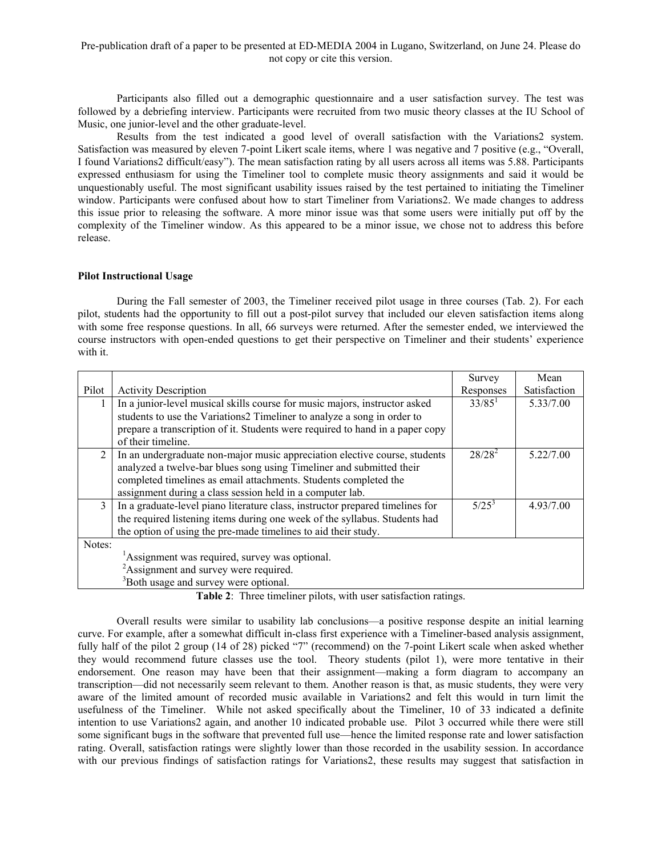Participants also filled out a demographic questionnaire and a user satisfaction survey. The test was followed by a debriefing interview. Participants were recruited from two music theory classes at the IU School of Music, one junior-level and the other graduate-level.

Results from the test indicated a good level of overall satisfaction with the Variations2 system. Satisfaction was measured by eleven 7-point Likert scale items, where 1 was negative and 7 positive (e.g., "Overall, I found Variations2 difficult/easy"). The mean satisfaction rating by all users across all items was 5.88. Participants expressed enthusiasm for using the Timeliner tool to complete music theory assignments and said it would be unquestionably useful. The most significant usability issues raised by the test pertained to initiating the Timeliner window. Participants were confused about how to start Timeliner from Variations2. We made changes to address this issue prior to releasing the software. A more minor issue was that some users were initially put off by the complexity of the Timeliner window. As this appeared to be a minor issue, we chose not to address this before release.

## **Pilot Instructional Usage**

 During the Fall semester of 2003, the Timeliner received pilot usage in three courses (Tab. 2). For each pilot, students had the opportunity to fill out a post-pilot survey that included our eleven satisfaction items along with some free response questions. In all, 66 surveys were returned. After the semester ended, we interviewed the course instructors with open-ended questions to get their perspective on Timeliner and their students' experience with it.

|                                                   |                                                                               | Survey    | Mean         |
|---------------------------------------------------|-------------------------------------------------------------------------------|-----------|--------------|
| Pilot                                             | <b>Activity Description</b>                                                   | Responses | Satisfaction |
|                                                   | In a junior-level musical skills course for music majors, instructor asked    | $33/85^1$ | 5.33/7.00    |
|                                                   | students to use the Variations2 Timeliner to analyze a song in order to       |           |              |
|                                                   | prepare a transcription of it. Students were required to hand in a paper copy |           |              |
|                                                   | of their timeline.                                                            |           |              |
| $\overline{2}$                                    | In an undergraduate non-major music appreciation elective course, students    | $28/28^2$ | 5.22/7.00    |
|                                                   | analyzed a twelve-bar blues song using Timeliner and submitted their          |           |              |
|                                                   | completed timelines as email attachments. Students completed the              |           |              |
|                                                   | assignment during a class session held in a computer lab.                     |           |              |
| $\mathcal{F}$                                     | In a graduate-level piano literature class, instructor prepared timelines for | $5/25^3$  | 4.93/7.00    |
|                                                   | the required listening items during one week of the syllabus. Students had    |           |              |
|                                                   | the option of using the pre-made timelines to aid their study.                |           |              |
| Notes:                                            |                                                                               |           |              |
| Assignment was required, survey was optional.     |                                                                               |           |              |
| <sup>2</sup> Assignment and survey were required. |                                                                               |           |              |
| <sup>3</sup> Both usage and survey were optional. |                                                                               |           |              |

**Table 2**: Three timeliner pilots, with user satisfaction ratings.

 Overall results were similar to usability lab conclusions—a positive response despite an initial learning curve. For example, after a somewhat difficult in-class first experience with a Timeliner-based analysis assignment, fully half of the pilot 2 group (14 of 28) picked "7" (recommend) on the 7-point Likert scale when asked whether they would recommend future classes use the tool. Theory students (pilot 1), were more tentative in their endorsement. One reason may have been that their assignment—making a form diagram to accompany an transcription—did not necessarily seem relevant to them. Another reason is that, as music students, they were very aware of the limited amount of recorded music available in Variations2 and felt this would in turn limit the usefulness of the Timeliner. While not asked specifically about the Timeliner, 10 of 33 indicated a definite intention to use Variations2 again, and another 10 indicated probable use. Pilot 3 occurred while there were still some significant bugs in the software that prevented full use—hence the limited response rate and lower satisfaction rating. Overall, satisfaction ratings were slightly lower than those recorded in the usability session. In accordance with our previous findings of satisfaction ratings for Variations2, these results may suggest that satisfaction in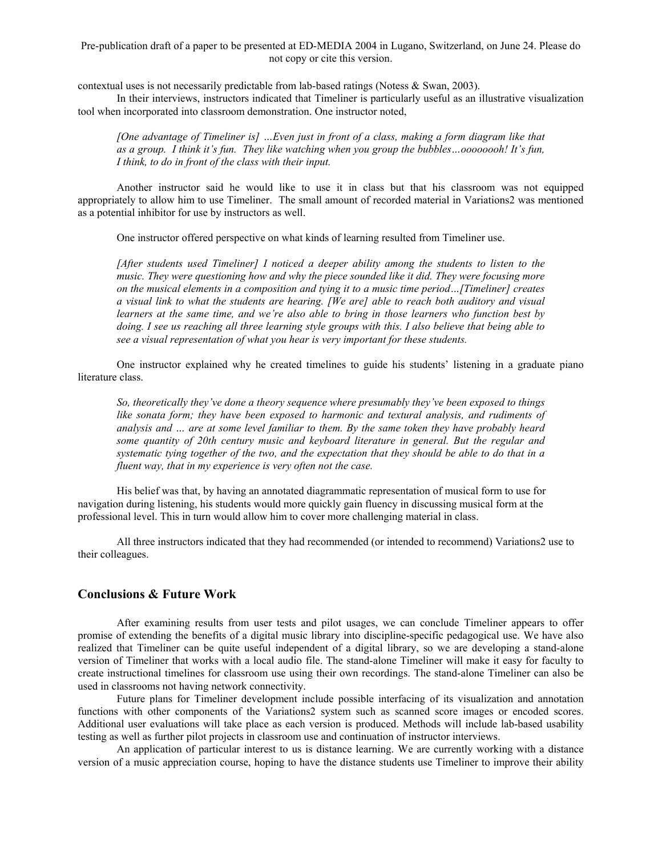contextual uses is not necessarily predictable from lab-based ratings (Notess & Swan, 2003).

 In their interviews, instructors indicated that Timeliner is particularly useful as an illustrative visualization tool when incorporated into classroom demonstration. One instructor noted,

*[One advantage of Timeliner is] …Even just in front of a class, making a form diagram like that as a group. I think it's fun. They like watching when you group the bubbles…oooooooh! It's fun, I think, to do in front of the class with their input.* 

Another instructor said he would like to use it in class but that his classroom was not equipped appropriately to allow him to use Timeliner. The small amount of recorded material in Variations2 was mentioned as a potential inhibitor for use by instructors as well.

One instructor offered perspective on what kinds of learning resulted from Timeliner use.

*[After students used Timeliner] I noticed a deeper ability among the students to listen to the music. They were questioning how and why the piece sounded like it did. They were focusing more on the musical elements in a composition and tying it to a music time period…[Timeliner] creates a visual link to what the students are hearing. [We are] able to reach both auditory and visual learners at the same time, and we're also able to bring in those learners who function best by doing. I see us reaching all three learning style groups with this. I also believe that being able to see a visual representation of what you hear is very important for these students.*

One instructor explained why he created timelines to guide his students' listening in a graduate piano literature class.

*So, theoretically they've done a theory sequence where presumably they've been exposed to things like sonata form; they have been exposed to harmonic and textural analysis, and rudiments of analysis and … are at some level familiar to them. By the same token they have probably heard some quantity of 20th century music and keyboard literature in general. But the regular and systematic tying together of the two, and the expectation that they should be able to do that in a fluent way, that in my experience is very often not the case.* 

His belief was that, by having an annotated diagrammatic representation of musical form to use for navigation during listening, his students would more quickly gain fluency in discussing musical form at the professional level. This in turn would allow him to cover more challenging material in class.

All three instructors indicated that they had recommended (or intended to recommend) Variations2 use to their colleagues.

## **Conclusions & Future Work**

After examining results from user tests and pilot usages, we can conclude Timeliner appears to offer promise of extending the benefits of a digital music library into discipline-specific pedagogical use. We have also realized that Timeliner can be quite useful independent of a digital library, so we are developing a stand-alone version of Timeliner that works with a local audio file. The stand-alone Timeliner will make it easy for faculty to create instructional timelines for classroom use using their own recordings. The stand-alone Timeliner can also be used in classrooms not having network connectivity.

Future plans for Timeliner development include possible interfacing of its visualization and annotation functions with other components of the Variations2 system such as scanned score images or encoded scores. Additional user evaluations will take place as each version is produced. Methods will include lab-based usability testing as well as further pilot projects in classroom use and continuation of instructor interviews.

An application of particular interest to us is distance learning. We are currently working with a distance version of a music appreciation course, hoping to have the distance students use Timeliner to improve their ability